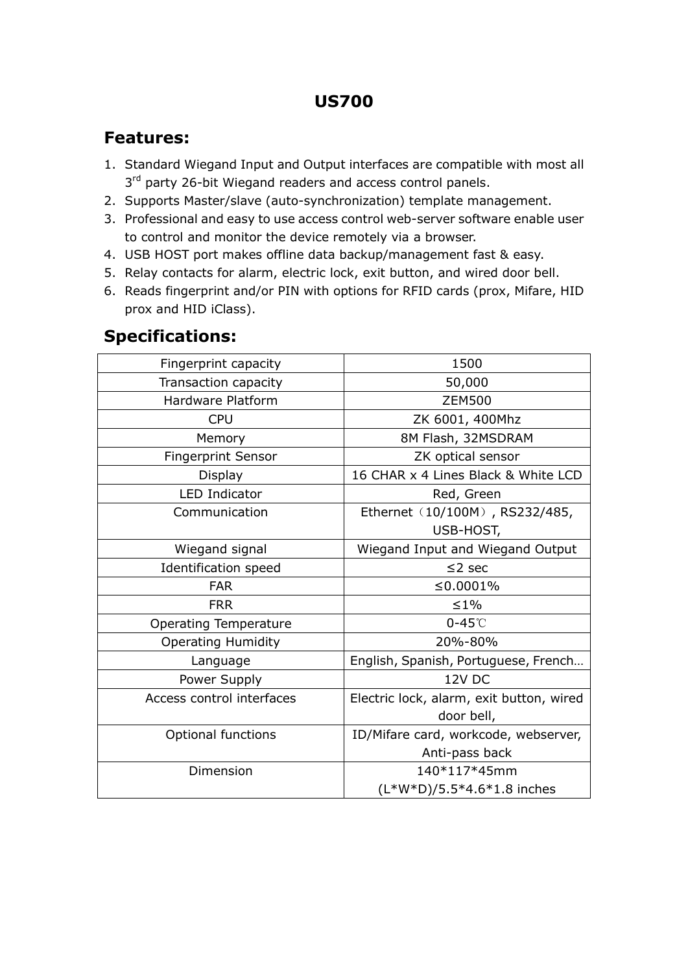### **US700**

#### **Features:**

- 1. Standard Wiegand Input and Output interfaces are compatible with most all 3<sup>rd</sup> party 26-bit Wiegand readers and access control panels.
- 2. Supports Master/slave (auto-synchronization) template management.
- 3. Professional and easy to use access control web-server software enable user to control and monitor the device remotely via a browser.
- 4. USB HOST port makes offline data backup/management fast & easy.
- 5. Relay contacts for alarm, electric lock, exit button, and wired door bell.
- 6. Reads fingerprint and/or PIN with options for RFID cards (prox, Mifare, HID prox and HID iClass).

#### **Specifications:**

| Fingerprint capacity         | 1500                                     |
|------------------------------|------------------------------------------|
| Transaction capacity         | 50,000                                   |
| Hardware Platform            | <b>ZEM500</b>                            |
| <b>CPU</b>                   | ZK 6001, 400Mhz                          |
| Memory                       | 8M Flash, 32MSDRAM                       |
| <b>Fingerprint Sensor</b>    | ZK optical sensor                        |
| Display                      | 16 CHAR x 4 Lines Black & White LCD      |
| <b>LED Indicator</b>         | Red, Green                               |
| Communication                | Ethernet (10/100M), RS232/485,           |
|                              | USB-HOST,                                |
| Wiegand signal               | Wiegand Input and Wiegand Output         |
| Identification speed         | $\leq$ 2 sec                             |
| <b>FAR</b>                   | ≤0.0001%                                 |
| <b>FRR</b>                   | $\leq 1\%$                               |
| <b>Operating Temperature</b> | $0-45^\circ$ C                           |
| <b>Operating Humidity</b>    | 20%-80%                                  |
| Language                     | English, Spanish, Portuguese, French     |
| Power Supply                 | 12V DC                                   |
| Access control interfaces    | Electric lock, alarm, exit button, wired |
|                              | door bell,                               |
| <b>Optional functions</b>    | ID/Mifare card, workcode, webserver,     |
|                              | Anti-pass back                           |
| Dimension                    | 140*117*45mm                             |
|                              | $(L*W*D)/5.5*4.6*1.8$ inches             |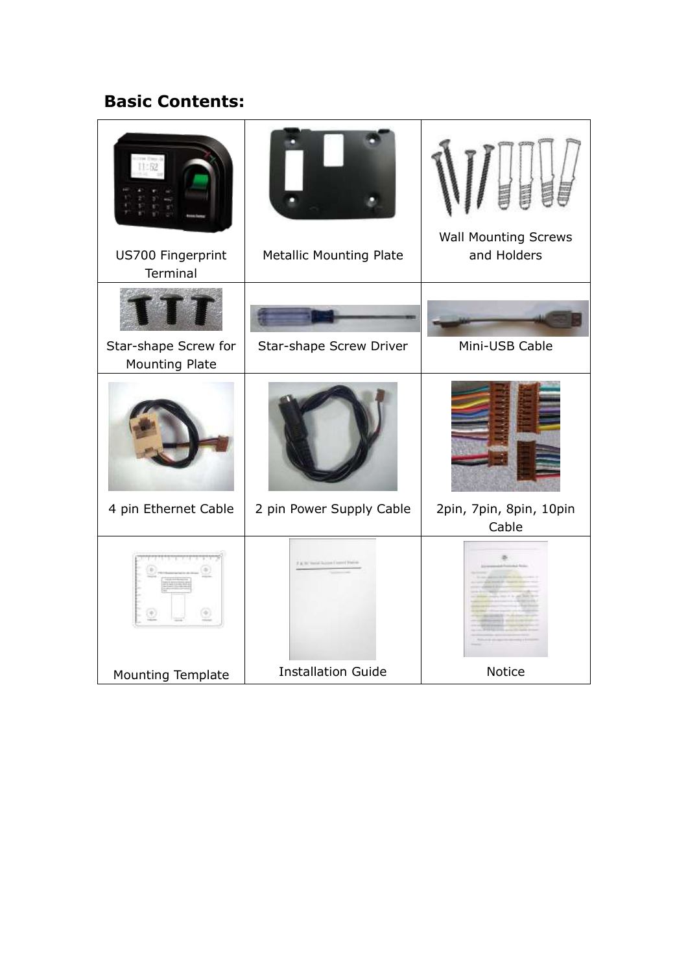## **Basic Contents:**

| US700 Fingerprint<br>Terminal | <b>Metallic Mounting Plate</b> | <b>Wall Mounting Screws</b><br>and Holders |
|-------------------------------|--------------------------------|--------------------------------------------|
| Star-shape Screw for          | Star-shape Screw Driver        | Mini-USB Cable                             |
| Mounting Plate                |                                |                                            |
|                               |                                |                                            |
| 4 pin Ethernet Cable          | 2 pin Power Supply Cable       | 2pin, 7pin, 8pin, 10pin<br>Cable           |
|                               |                                |                                            |
| Mounting Template             | <b>Installation Guide</b>      | Notice                                     |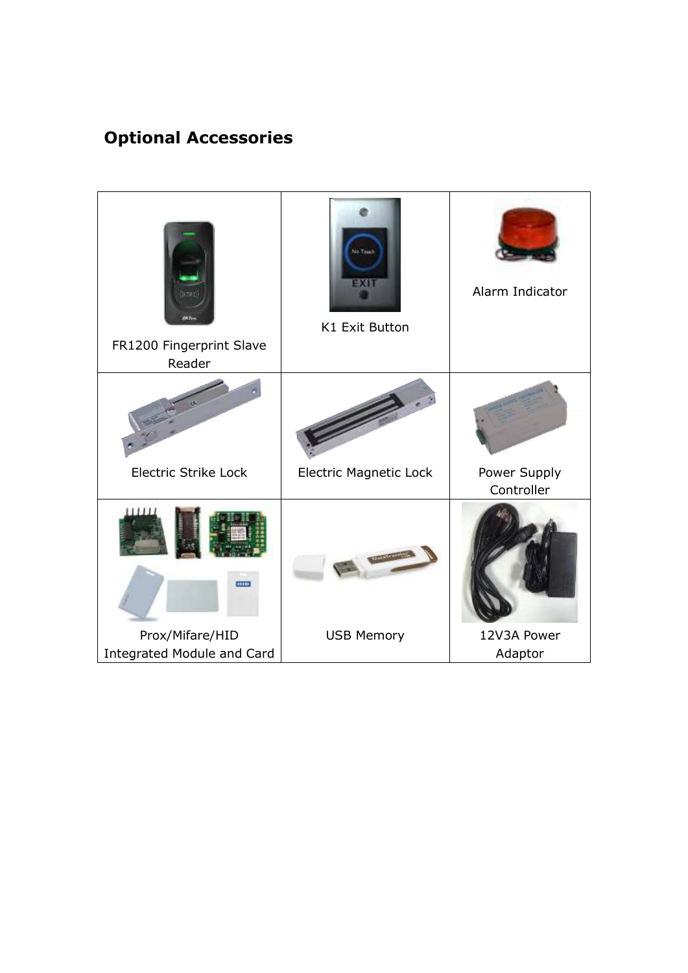# **Optional Accessories**

| FR1200 Fingerprint Slave<br>Reader                   | <b>SO TOME</b><br>EXI<br>K1 Exit Button | Alarm Indicator            |
|------------------------------------------------------|-----------------------------------------|----------------------------|
|                                                      |                                         |                            |
| <b>Electric Strike Lock</b>                          | <b>Electric Magnetic Lock</b>           | Power Supply<br>Controller |
| 1111<br>                                             |                                         |                            |
| Prox/Mifare/HID<br><b>Integrated Module and Card</b> | <b>USB Memory</b>                       | 12V3A Power<br>Adaptor     |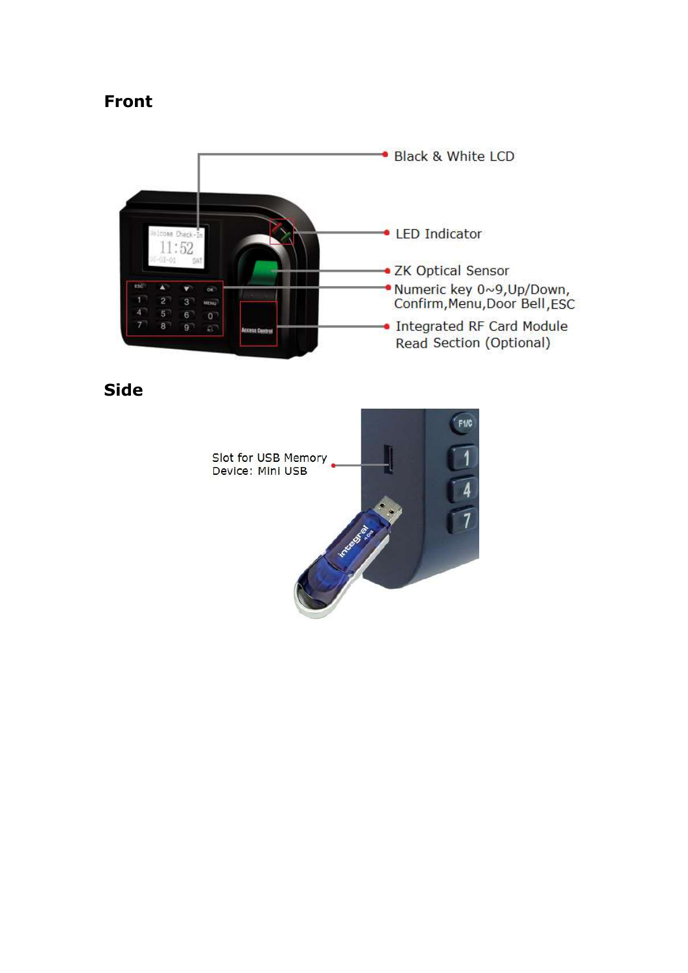#### **Front**



**Side**

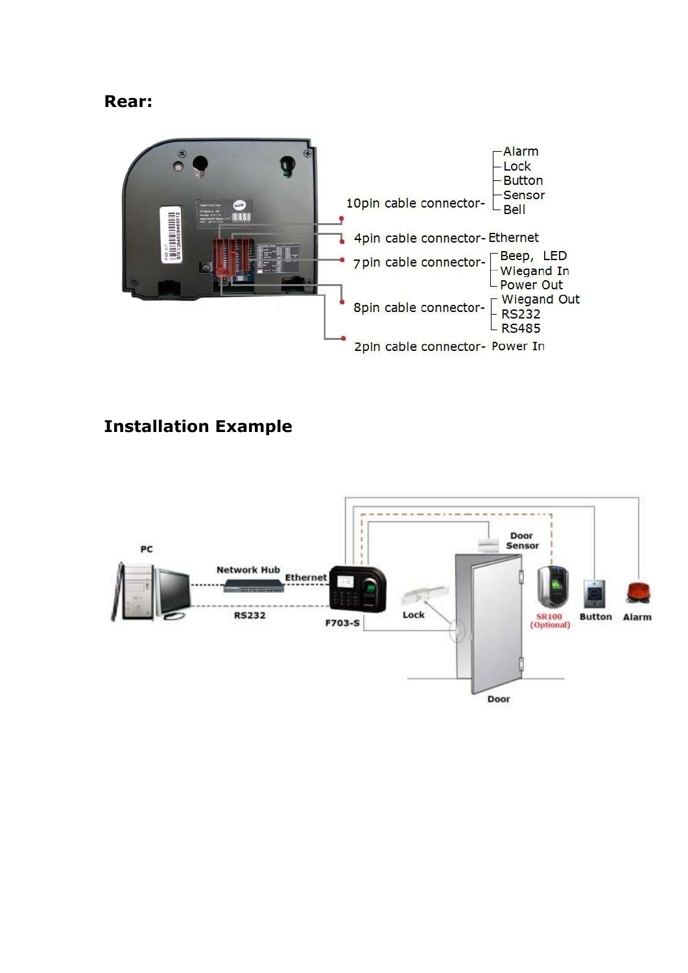#### **Rear:**



## **Installation Example**

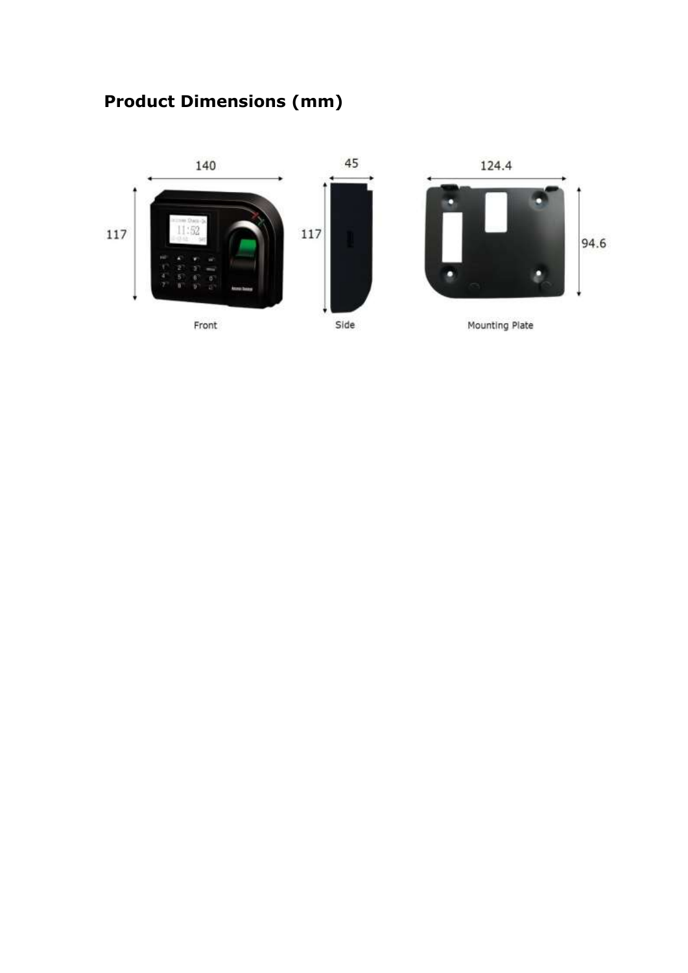# **Product Dimensions (mm)**